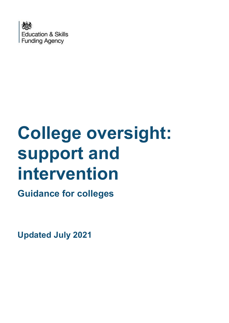

# **College oversight: support and intervention**

**Guidance for colleges**

**Updated July 2021**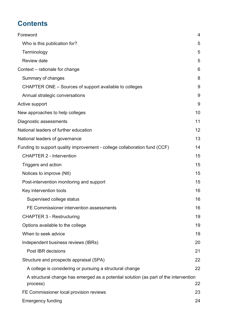# **Contents**

| Foreword                                                                                         | 4  |
|--------------------------------------------------------------------------------------------------|----|
| Who is this publication for?                                                                     | 5  |
| Terminology                                                                                      | 5  |
| <b>Review date</b>                                                                               | 5  |
| Context – rationale for change                                                                   | 6  |
| Summary of changes                                                                               | 8  |
| CHAPTER ONE - Sources of support available to colleges                                           | 9  |
| Annual strategic conversations                                                                   | 9  |
| Active support                                                                                   | 9  |
| New approaches to help colleges                                                                  | 10 |
| Diagnostic assessments                                                                           | 11 |
| National leaders of further education                                                            | 12 |
| National leaders of governance                                                                   | 13 |
| Funding to support quality improvement - college collaboration fund (CCF)                        | 14 |
| <b>CHAPTER 2 - Intervention</b>                                                                  | 15 |
| Triggers and action                                                                              | 15 |
| Notices to improve (Ntl)                                                                         | 15 |
| Post-intervention monitoring and support                                                         | 15 |
| Key intervention tools                                                                           | 16 |
| Supervised college status                                                                        | 16 |
| FE Commissioner intervention assessments                                                         | 16 |
| <b>CHAPTER 3 - Restructuring</b>                                                                 | 19 |
| Options available to the college                                                                 | 19 |
| When to seek advice                                                                              | 19 |
| Independent business reviews (IBRs)                                                              | 20 |
| Post IBR decisions                                                                               | 21 |
| Structure and prospects appraisal (SPA)                                                          | 22 |
| A college is considering or pursuing a structural change                                         | 22 |
| A structural change has emerged as a potential solution (as part of the intervention<br>process) | 22 |
| FE Commissioner local provision reviews                                                          | 23 |
| <b>Emergency funding</b>                                                                         | 24 |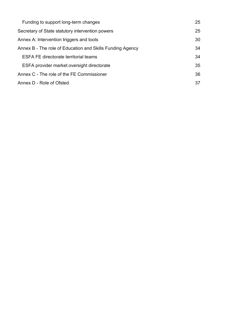| Funding to support long-term changes                      | 25 |
|-----------------------------------------------------------|----|
| Secretary of State statutory intervention powers          | 25 |
| Annex A: Intervention triggers and tools                  | 30 |
| Annex B - The role of Education and Skills Funding Agency | 34 |
| <b>ESFA FE directorate territorial teams</b>              | 34 |
| ESFA provider market oversight directorate                | 35 |
| Annex C - The role of the FE Commissioner                 | 36 |
| Annex D - Role of Ofsted                                  | 37 |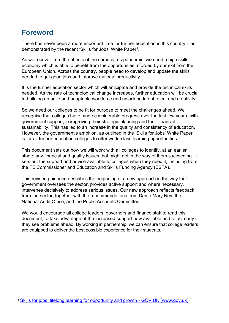# <span id="page-3-0"></span>**Foreword**

There has never been a more important time for further education in this country – as demonstrated by the recent 'Skills for Jobs' White Paper<sup>1</sup>.

As we recover from the effects of the coronavirus pandemic, we need a high skills economy which is able to benefit from the opportunities afforded by our exit from the European Union. Across the country, people need to develop and update the skills needed to get good jobs and improve national productivity.

It is the further education sector which will anticipate and provide the technical skills needed. As the rate of technological change increases, further education will be crucial to building an agile and adaptable workforce and unlocking latent talent and creativity.

So we need our colleges to be fit for purpose to meet the challenges ahead. We recognise that colleges have made considerable progress over the last few years, with government support, in improving their strategic planning and their financial sustainability. This has led to an increase in the quality and consistency of education. However, the government's ambition, as outlined in the 'Skills for Jobs' White Paper, is for all further education colleges to offer world class learning opportunities.

This document sets out how we will work with all colleges to identify, at an earlier stage, any financial and quality issues that might get in the way of them succeeding. It sets out the support and advice available to colleges when they need it, including from the FE Commissioner and Education and Skills Funding Agency (ESFA).

This revised guidance describes the beginning of a new approach in the way that government oversees the sector, provides active support and where necessary, intervenes decisively to address serious issues. Our new approach reflects feedback from the sector, together with the recommendations from Dame Mary Ney, the National Audit Office, and the Public Accounts Committee.

We would encourage all college leaders, governors and finance staff to read this document, to take advantage of the increased support now available and to act early if they see problems ahead. By working in partnership, we can ensure that college leaders are equipped to deliver the best possible experience for their students.

<sup>1</sup> [Skills for jobs: lifelong learning for opportunity and growth -](https://www.gov.uk/government/publications/skills-for-jobs-lifelong-learning-for-opportunity-and-growth) GOV.UK (www.gov.uk)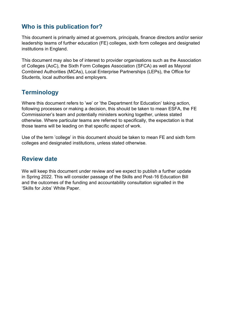## <span id="page-4-0"></span>**Who is this publication for?**

This document is primarily aimed at governors, principals, finance directors and/or senior leadership teams of further education (FE) colleges, sixth form colleges and designated institutions in England.

This document may also be of interest to provider organisations such as the Association of Colleges (AoC), the Sixth Form Colleges Association (SFCA) as well as Mayoral Combined Authorities (MCAs), Local Enterprise Partnerships (LEPs), the Office for Students, local authorities and employers.

## <span id="page-4-1"></span>**Terminology**

Where this document refers to 'we' or 'the Department for Education' taking action, following processes or making a decision, this should be taken to mean ESFA, the FE Commissioner's team and potentially ministers working together, unless stated otherwise. Where particular teams are referred to specifically, the expectation is that those teams will be leading on that specific aspect of work.

Use of the term 'college' in this document should be taken to mean FE and sixth form colleges and designated institutions, unless stated otherwise.

#### <span id="page-4-2"></span>**Review date**

We will keep this document under review and we expect to publish a further update in Spring 2022. This will consider passage of the Skills and Post-16 Education Bill and the outcomes of the funding and accountability consultation signalled in the 'Skills for Jobs' White Paper.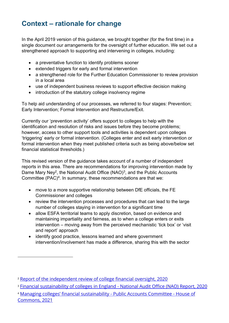# <span id="page-5-0"></span>**Context – rationale for change**

In the April 2019 version of this guidance, we brought together (for the first time) in a single document our arrangements for the oversight of further education. We set out a strengthened approach to supporting and intervening in colleges, including:

- a preventative function to identify problems sooner
- extended triggers for early and formal intervention
- a strengthened role for the Further Education Commissioner to review provision in a local area
- use of independent business reviews to support effective decision making
- introduction of the statutory college insolvency regime

To help aid understanding of our processes, we referred to four stages: Prevention; Early Intervention; Formal Intervention and Restructure/Exit.

Currently our 'prevention activity' offers support to colleges to help with the identification and resolution of risks and issues before they become problems; however, access to other support tools and activities is dependent upon colleges 'triggering' early or formal intervention. (Colleges enter and exit early intervention or formal intervention when they meet published criteria such as being above/below set financial statistical thresholds.)

This revised version of the guidance takes account of a number of independent reports in this area. There are recommendations for improving intervention made by Dame Mary Ney<sup>2</sup>, the National Audit Office (NAO)<sup>3</sup>, and the Public Accounts Committee  $(PAC)^4$ . In summary, these recommendations are that we:

- move to a more supportive relationship between DfE officials, the FE Commissioner and colleges
- review the intervention processes and procedures that can lead to the large number of colleges staying in intervention for a significant time
- allow ESFA territorial teams to apply discretion, based on evidence and maintaining impartiality and fairness, as to when a college enters or exits intervention – moving away from the perceived mechanistic 'tick box' or 'visit and report' approach
- identify good practice, lessons learned and where government intervention/involvement has made a difference, sharing this with the sector

<sup>&</sup>lt;sup>2</sup> [Report of the independent review of college financial oversight, 2020](https://www.gov.uk/government/publications/report-of-the-independent-review-of-college-financial-oversight#:~:text=Dame%20Mary%20Ney%20DBE%20was,the%20government)

<sup>&</sup>lt;sup>3</sup> [Financial sustainability of colleges in England -](https://www.nao.org.uk/report/financial-sustainability-of-colleges-in-england/) National Audit Office (NAO) Report, 2020

<sup>4</sup> [Managing colleges' financial sustainability](https://publications.parliament.uk/pa/cm5801/cmselect/cmpubacc/692/69208.htm) - Public Accounts Committee - House of [Commons, 2021](https://publications.parliament.uk/pa/cm5801/cmselect/cmpubacc/692/69208.htm)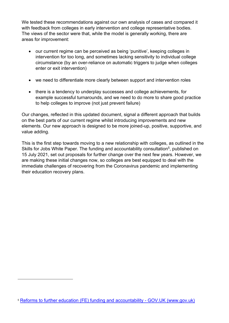We tested these recommendations against our own analysis of cases and compared it with feedback from colleges in early intervention and college representative bodies. The views of the sector were that, while the model is generally working, there are areas for improvement:

- our current regime can be perceived as being 'punitive', keeping colleges in intervention for too long, and sometimes lacking sensitivity to individual college circumstance (by an over-reliance on automatic triggers to judge when colleges enter or exit intervention)
- we need to differentiate more clearly between support and intervention roles
- there is a tendency to underplay successes and college achievements, for example successful turnarounds, and we need to do more to share good practice to help colleges to improve (not just prevent failure)

Our changes, reflected in this updated document, signal a different approach that builds on the best parts of our current regime whilst introducing improvements and new elements. Our new approach is designed to be more joined-up, positive, supportive, and value adding.

This is the first step towards moving to a new relationship with colleges, as outlined in the Skills for Jobs White Paper. The funding and accountability consultation<sup>5</sup>, published on 15 July 2021, set out proposals for further change over the next few years. However, we are making these initial changes now, so colleges are best equipped to deal with the immediate challenges of recovering from the Coronavirus pandemic and implementing their education recovery plans.

<sup>5</sup> [Reforms to further education \(FE\) funding and accountability -](https://www.gov.uk/government/consultations/reforms-to-further-education-fe-funding-and-accountability) GOV.UK (www.gov.uk)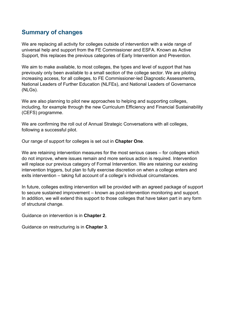## <span id="page-7-0"></span>**Summary of changes**

We are replacing all activity for colleges outside of intervention with a wide range of universal help and support from the FE Commissioner and ESFA. Known as Active Support, this replaces the previous categories of Early Intervention and Prevention.

We aim to make available, to most colleges, the types and level of support that has previously only been available to a small section of the college sector. We are piloting increasing access, for all colleges, to FE Commissioner-led Diagnostic Assessments, National Leaders of Further Education (NLFEs), and National Leaders of Governance (NLGs).

We are also planning to pilot new approaches to helping and supporting colleges, including, for example through the new Curriculum Efficiency and Financial Sustainability (CEFS) programme.

We are confirming the roll out of Annual Strategic Conversations with all colleges, following a successful pilot.

Our range of support for colleges is set out in **Chapter One**.

We are retaining intervention measures for the most serious cases – for colleges which do not improve, where issues remain and more serious action is required. Intervention will replace our previous category of Formal Intervention. We are retaining our existing intervention triggers, but plan to fully exercise discretion on when a college enters and exits intervention – taking full account of a college's individual circumstances.

In future, colleges exiting intervention will be provided with an agreed package of support to secure sustained improvement – known as post-intervention monitoring and support. In addition, we will extend this support to those colleges that have taken part in any form of structural change.

Guidance on intervention is in **Chapter 2**.

Guidance on restructuring is in **Chapter 3**.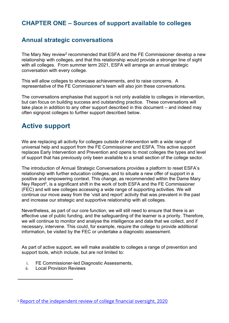## <span id="page-8-0"></span>**CHAPTER ONE – Sources of support available to colleges**

### <span id="page-8-1"></span>**Annual strategic conversations**

The Mary Ney review $^2$  recommended that ESFA and the FE Commissioner develop a new relationship with colleges, and that this relationship would provide a stronger line of sight with all colleges. From summer term 2021, ESFA will arrange an annual strategic conversation with every college.

This will allow colleges to showcase achievements, and to raise concerns. A representative of the FE Commissioner's team will also join these conversations.

The conversations emphasise that support is not only available to colleges in intervention, but can focus on building success and outstanding practice. These conversations will take place in addition to any other support described in this document – and indeed may often signpost colleges to further support described below.

# <span id="page-8-2"></span>**Active support**

We are replacing all activity for colleges outside of intervention with a wide range of universal help and support from the FE Commissioner and ESFA. This active support replaces Early Intervention and Prevention and opens to most colleges the types and level of support that has previously only been available to a small section of the college sector.

The introduction of Annual Strategic Conversations provides a platform to reset ESFA's relationship with further education colleges, and to situate a new offer of support in a positive and empowering context. This change, as recommended within the Dame Mary Ney Report<sup>2</sup>, is a significant shift in the work of both ESFA and the FE Commissioner (FEC) and will see colleges accessing a wide range of supporting activities. We will continue our move away from the 'visit and report' activity that was prevalent in the past and increase our strategic and supportive relationship with all colleges.

Nevertheless, as part of our core function, we will still need to ensure that there is an effective use of public funding, and the safeguarding of the learner is a priority. Therefore, we will continue to monitor and analyse the intelligence and data that we collect, and if necessary, intervene. This could, for example, require the college to provide additional information, be visited by the FEC or undertake a diagnostic assessment.

As part of active support, we will make available to colleges a range of prevention and support tools, which include, but are not limited to:

- i. FE Commissioner-led Diagnostic Assessments,
- ii. Local Provision Reviews

<sup>&</sup>lt;sup>2</sup> [Report of the independent review of college financial oversight, 2020](https://www.gov.uk/government/publications/report-of-the-independent-review-of-college-financial-oversight#:~:text=Dame%20Mary%20Ney%20DBE%20was,the%20government)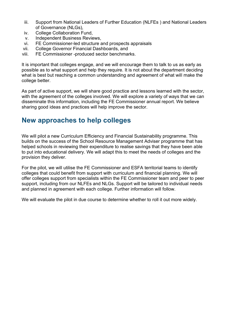- iii. Support from National Leaders of Further Education (NLFEs ) and National Leaders of Governance (NLGs),
- iv. College Collaboration Fund,
- v. Independent Business Reviews,
- vi. FE Commissioner-led structure and prospects appraisals
- vii. College Governor Financial Dashboards, and
- viii. FE Commissioner -produced sector benchmarks.

It is important that colleges engage, and we will encourage them to talk to us as early as possible as to what support and help they require. It is not about the department deciding what is best but reaching a common understanding and agreement of what will make the college better.

As part of active support, we will share good practice and lessons learned with the sector, with the agreement of the colleges involved. We will explore a variety of ways that we can disseminate this information, including the FE Commissioner annual report. We believe sharing good ideas and practices will help improve the sector.

# <span id="page-9-0"></span>**New approaches to help colleges**

We will pilot a new Curriculum Efficiency and Financial Sustainability programme. This builds on the success of the School Resource Management Adviser programme that has helped schools in reviewing their expenditure to realise savings that they have been able to put into educational delivery. We will adapt this to meet the needs of colleges and the provision they deliver.

For the pilot, we will utilise the FE Commissioner and ESFA territorial teams to identify colleges that could benefit from support with curriculum and financial planning. We will offer colleges support from specialists within the FE Commissioner team and peer to peer support, including from our NLFEs and NLGs. Support will be tailored to individual needs and planned in agreement with each college. Further information will follow.

We will evaluate the pilot in due course to determine whether to roll it out more widely.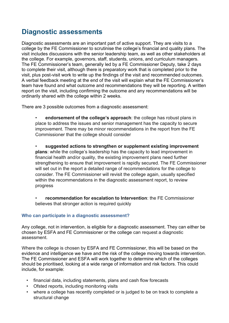# <span id="page-10-0"></span>**Diagnostic assessments**

Diagnostic assessments are an important part of active support. They are visits to a college by the FE Commissioner to scrutinise the college's financial and quality plans. The visit includes discussions with the senior leadership team, as well as other stakeholders at the college. For example, governors, staff, students, unions, and curriculum managers. The FE Commissioner's team, generally led by a FE Commissioner Deputy, take 2 days to complete their visit, although there is preparatory work that is completed prior to the visit, plus post-visit work to write up the findings of the visit and recommended outcomes. A verbal feedback meeting at the end of the visit will explain what the FE Commissioner's team have found and what outcome and recommendations they will be reporting. A written report on the visit, including confirming the outcome and any recommendations will be ordinarily shared with the college within 2 weeks.

There are 3 possible outcomes from a diagnostic assessment:

- **endorsement of the college's approach**: the college has robust plans in place to address the issues and senior management has the capacity to secure improvement. There may be minor recommendations in the report from the FE Commissioner that the college should consider
- **suggested actions to strengthen or supplement existing improvement plans**: while the college's leadership has the capacity to lead improvement in financial health and/or quality, the existing improvement plans need further strengthening to ensure that improvement is rapidly secured. The FE Commissioner will set out in the report a detailed range of recommendations for the college to consider. The FE Commissioner will revisit the college again, usually specified within the recommendations in the diagnostic assessment report, to review progress
- **recommendation for escalation to Intervention**: the FE Commissioner believes that stronger action is required quickly

#### **Who can participate in a diagnostic assessment?**

Any college, not in intervention, is eligible for a diagnostic assessment. They can either be chosen by ESFA and FE Commissioner or the college can request a diagnostic assessment.

Where the college is chosen by ESFA and FE Commissioner, this will be based on the evidence and intelligence we have and the risk of the college moving towards intervention. The FE Commissioner and ESFA will work together to determine which of the colleges should be prioritised, looking at a wide range of information and risk factors. This could include, for example:

- financial data, including statements, plans and cash flow forecasts
- Ofsted reports, including monitoring visits
- where a college has recently completed or is judged to be on track to complete a structural change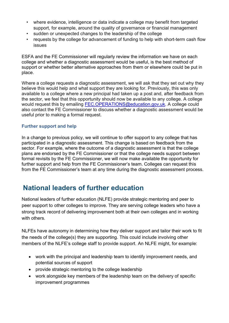- where evidence, intelligence or data indicate a college may benefit from targeted support, for example, around the quality of governance or financial management
- sudden or unexpected changes to the leadership of the college
- requests by the college for advancement of funding to help with short-term cash flow issues

ESFA and the FE Commissioner will regularly review the information we have on each college and whether a diagnostic assessment would be useful, is the best method of support or whether better alternative approaches from them or elsewhere could be put in place.

Where a college requests a diagnostic assessment, we will ask that they set out why they believe this would help and what support they are looking for. Previously, this was only available to a college where a new principal had taken up a post and, after feedback from the sector, we feel that this opportunity should now be available to any college. A college would request this by emailing [FEC.OPERATIONS@education.gov.uk.](mailto:FEC.OPERATIONS@education.gov.uk) A college could also contact the FE Commissioner to discuss whether a diagnostic assessment would be useful prior to making a formal request.

#### **Further support and help**

In a change to previous policy, we will continue to offer support to any college that has participated in a diagnostic assessment. This change is based on feedback from the sector. For example, where the outcome of a diagnostic assessment is that the college plans are endorsed by the FE Commissioner or that the college needs support between formal revisits by the FE Commissioner, we will now make available the opportunity for further support and help from the FE Commissioner's team. Colleges can request this from the FE Commissioner's team at any time during the diagnostic assessment process.

# <span id="page-11-0"></span>**National leaders of further education**

National leaders of further education (NLFE) provide strategic mentoring and peer to peer support to other colleges to improve. They are serving college leaders who have a strong track record of delivering improvement both at their own colleges and in working with others.

NLFEs have autonomy in determining how they deliver support and tailor their work to fit the needs of the college(s) they are supporting. This could include involving other members of the NLFE's college staff to provide support. An NLFE might, for example:

- work with the principal and leadership team to identify improvement needs, and potential sources of support
- provide strategic mentoring to the college leadership
- work alongside key members of the leadership team on the delivery of specific improvement programmes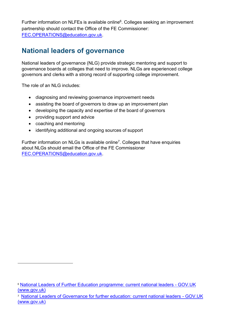Further information on NLFEs is available online $\rm^6$ . Colleges seeking an improvement partnership should contact the Office of the FE Commissioner: [FEC.OPERATIONS@education.gov.uk.](mailto:FEC.OPERATIONS@education.gov.uk)

# <span id="page-12-0"></span>**National leaders of governance**

National leaders of governance (NLG) provide strategic mentoring and support to governance boards at colleges that need to improve. NLGs are experienced college governors and clerks with a strong record of supporting college improvement.

The role of an NLG includes:

- diagnosing and reviewing governance improvement needs
- assisting the board of governors to draw up an improvement plan
- developing the capacity and expertise of the board of governors
- providing support and advice
- coaching and mentoring
- identifying additional and ongoing sources of support

Further information on NLGs is available online<sup>7</sup>. Colleges that have enquiries about NLGs should email the Office of the FE Commissioner [FEC.OPERATIONS@education.gov.uk.](mailto:FEC.OPERATIONS@education.gov.uk)

<sup>6</sup> [National Leaders of Further Education programme: current national leaders -](https://www.gov.uk/government/publications/national-leaders-of-further-education-programme-current-national-leaders/national-leaders-of-further-education-programme-current-national-leaders#informationqueries) GOV.UK [\(www.gov.uk\)](https://www.gov.uk/government/publications/national-leaders-of-further-education-programme-current-national-leaders/national-leaders-of-further-education-programme-current-national-leaders#informationqueries)

<sup>7</sup> [National Leaders of Governance for further education: current national leaders -](https://www.gov.uk/government/publications/national-leaders-of-governance-for-further-education-national-leaders/national-leaders-of-governance-for-further-education-current-national-leaders) GOV.UK [\(www.gov.uk\)](https://www.gov.uk/government/publications/national-leaders-of-governance-for-further-education-national-leaders/national-leaders-of-governance-for-further-education-current-national-leaders)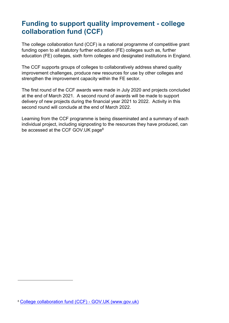# <span id="page-13-0"></span>**Funding to support quality improvement - college collaboration fund (CCF)**

The college collaboration fund (CCF) is a national programme of competitive grant funding open to all statutory further education (FE) colleges such as, further education (FE) colleges, sixth form colleges and designated institutions in England.

The CCF supports groups of colleges to collaboratively address shared quality improvement challenges, produce new resources for use by other colleges and strengthen the improvement capacity within the FE sector.

The first round of the CCF awards were made in July 2020 and projects concluded at the end of March 2021. A second round of awards will be made to support delivery of new projects during the financial year 2021 to 2022. Activity in this second round will conclude at the end of March 2022.

Learning from the CCF programme is being disseminated and a summary of each individual project, including signposting to the resources they have produced, can be accessed at the [CCF GOV.UK page](https://www.gov.uk/government/publications/college-collaboration-fund-ccf-projects)<sup>8</sup>

<sup>8</sup> [College collaboration fund \(CCF\) -](https://www.gov.uk/guidance/college-collaboration-fund-ccf) GOV.UK (www.gov.uk)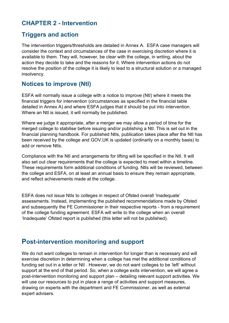## <span id="page-14-0"></span>**CHAPTER 2 - Intervention**

#### <span id="page-14-1"></span>**Triggers and action**

The intervention triggers/thresholds are detailed in Annex A. ESFA case managers will consider the context and circumstances of the case in exercising discretion where it is available to them. They will, however, be clear with the college, in writing, about the action they decide to take and the reasons for it. Where intervention actions do not resolve the position of the college it is likely to lead to a structural solution or a managed insolvency.

### <span id="page-14-2"></span>**Notices to improve (NtI)**

ESFA will normally issue a college with a notice to improve (NtI) where it meets the financial triggers for intervention (circumstances as specified in the financial table detailed in Annex A) and where ESFA judges that it should be put into intervention. Where an NtI is issued, it will normally be published.

Where we judge it appropriate, after a merger we may allow a period of time for the merged college to stabilise before issuing and/or publishing a NtI. This is set out in the financial planning handbook. For published NtIs, publication takes place after the NtI has been received by the college and GOV.UK is updated (ordinarily on a monthly basis) to add or remove NtIs.

Compliance with the NtI and arrangements for lifting will be specified in the NtI. It will also set out clear requirements that the college is expected to meet within a timeline. These requirements form additional conditions of funding. NtIs will be reviewed, between the college and ESFA, on at least an annual basis to ensure they remain appropriate, and reflect achievements made at the college.

ESFA does not issue NtIs to colleges in respect of Ofsted overall 'Inadequate' assessments. Instead, implementing the published recommendations made by Ofsted and subsequently the FE Commissioner in their respective reports - from a requirement of the college funding agreement. ESFA will write to the college when an overall 'Inadequate' Ofsted report is published (this letter will not be published).

## <span id="page-14-3"></span>**Post-intervention monitoring and support**

We do not want colleges to remain in intervention for longer than is necessary and will exercise discretion in determining when a college has met the additional conditions of funding set out in a letter or NtI . However, we do not want colleges to be 'left' without support at the end of that period. So, when a college exits intervention, we will agree a post-intervention monitoring and support plan – detailing relevant support activities. We will use our resources to put in place a range of activities and support measures, drawing on experts with the department and FE Commissioner, as well as external expert advisers.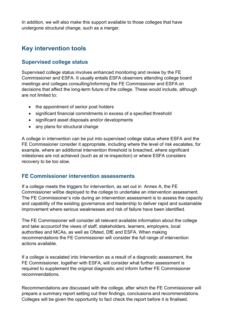In addition, we will also make this support available to those colleges that have undergone structural change, such as a merger.

# <span id="page-15-0"></span>**Key intervention tools**

#### <span id="page-15-1"></span>**Supervised college status**

Supervised college status involves enhanced monitoring and review by the FE Commissioner and ESFA. It usually entails ESFA observers attending college board meetings and colleges consulting/informing the FE Commissioner and ESFA on decisions that affect the long-term future of the college. These would include, although are not limited to:

- the appointment of senior post holders
- significant financial commitments in excess of a specified threshold
- significant asset disposals and/or developments
- any plans for structural change

A college in intervention can be put into supervised college status where ESFA and the FE Commissioner consider it appropriate, including where the level of risk escalates, for example, where an additional intervention threshold is breached, where significant milestones are not achieved (such as at re-inspection) or where ESFA considers recovery to be too slow.

#### <span id="page-15-2"></span>**FE Commissioner intervention assessments**

If a college meets the triggers for intervention, as set out in Annex A, the FE Commissioner will be deployed to the college to undertake an intervention assessment. The FE Commissioner's role during an intervention assessment is to assess the capacity and capability of the existing governance and leadership to deliver rapid and sustainable improvement where serious weaknesses and risk of failure have been identified.

The FE Commissioner will consider all relevant available information about the college and take account of the views of staff, stakeholders, learners, employers, local authorities and MCAs, as well as Ofsted, DfE and ESFA. When making recommendations the FE Commissioner will consider the full range of intervention actions available.

If a college is escalated into Intervention as a result of a diagnostic assessment, the FE Commissioner, together with ESFA, will consider what further assessment is required to supplement the original diagnostic and inform further FE Commissioner recommendations.

Recommendations are discussed with the college, after which the FE Commissioner will prepare a summary report setting out their findings, conclusions and recommendations. Colleges will be given the opportunity to fact check the report before it is finalised.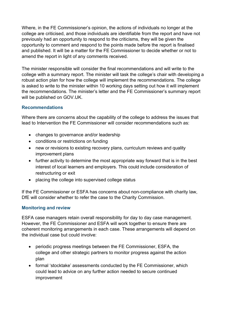Where, in the FE Commissioner's opinion, the actions of individuals no longer at the college are criticised, and those individuals are identifiable from the report and have not previously had an opportunity to respond to the criticisms, they will be given the opportunity to comment and respond to the points made before the report is finalised and published. It will be a matter for the FE Commissioner to decide whether or not to amend the report in light of any comments received.

The minister responsible will consider the final recommendations and will write to the college with a summary report. The minister will task the college's chair with developing a robust action plan for how the college will implement the recommendations. The college is asked to write to the minister within 10 working days setting out how it will implement the recommendations. The minister's letter and the FE Commissioner's summary report will be published on GOV.UK.

#### **Recommendations**

Where there are concerns about the capability of the college to address the issues that lead to Intervention the FE Commissioner will consider recommendations such as:

- changes to governance and/or leadership
- conditions or restrictions on funding
- new or revisions to existing recovery plans, curriculum reviews and quality improvement plans
- further activity to determine the most appropriate way forward that is in the best interest of local learners and employers. This could include consideration of restructuring or exit
- placing the college into supervised college status

If the FE Commissioner or ESFA has concerns about non-compliance with charity law, DfE will consider whether to refer the case to the Charity Commission.

#### **Monitoring and review**

ESFA case managers retain overall responsibility for day to day case management. However, the FE Commissioner and ESFA will work together to ensure there are coherent monitoring arrangements in each case. These arrangements will depend on the individual case but could involve:

- periodic progress meetings between the FE Commissioner, ESFA, the college and other strategic partners to monitor progress against the action plan
- formal 'stocktake' assessments conducted by the FE Commissioner, which could lead to advice on any further action needed to secure continued improvement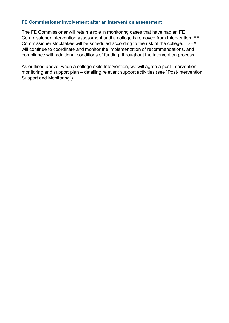#### **FE Commissioner involvement after an intervention assessment**

The FE Commissioner will retain a role in monitoring cases that have had an FE Commissioner intervention assessment until a college is removed from Intervention. FE Commissioner stocktakes will be scheduled according to the risk of the college. ESFA will continue to coordinate and monitor the implementation of recommendations, and compliance with additional conditions of funding, throughout the intervention process.

As outlined above, when a college exits Intervention, we will agree a post-intervention monitoring and support plan – detailing relevant support activities (see "Post-intervention Support and Monitoring").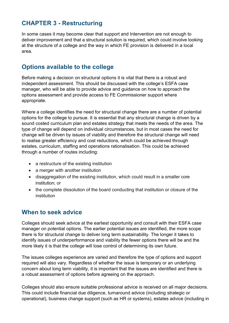## <span id="page-18-0"></span>**CHAPTER 3 - Restructuring**

In some cases it may become clear that support and Intervention are not enough to deliver improvement and that a structural solution is required, which could involve looking at the structure of a college and the way in which FE provision is delivered in a local area.

## <span id="page-18-1"></span>**Options available to the college**

Before making a decision on structural options it is vital that there is a robust and independent assessment. This should be discussed with the college's ESFA case manager, who will be able to provide advice and guidance on how to approach the options assessment and provide access to FE Commissioner support where appropriate.

Where a college identifies the need for structural change there are a number of potential options for the college to pursue. It is essential that any structural change is driven by a sound costed curriculum plan and estates strategy that meets the needs of the area. The type of change will depend on individual circumstances, but in most cases the need for change will be driven by issues of viability and therefore the structural change will need to realise greater efficiency and cost reductions, which could be achieved through estates, curriculum, staffing and operations rationalisation. This could be achieved through a number of routes including:

- a restructure of the existing institution
- a merger with another institution
- disaggregation of the existing institution, which could result in a smaller core institution; or
- the complete dissolution of the board conducting that institution or closure of the institution

#### <span id="page-18-2"></span>**When to seek advice**

Colleges should seek advice at the earliest opportunity and consult with their ESFA case manager on potential options. The earlier potential issues are identified, the more scope there is for structural change to deliver long term sustainability. The longer it takes to identify issues of underperformance and viability the fewer options there will be and the more likely it is that the college will lose control of determining its own future.

The issues colleges experience are varied and therefore the type of options and support required will also vary. Regardless of whether the issue is temporary or an underlying concern about long term viability, it is important that the issues are identified and there is a robust assessment of options before agreeing on the approach.

Colleges should also ensure suitable professional advice is received on all major decisions. This could include financial due diligence, turnaround advice (including strategic or operational), business change support (such as HR or systems), estates advice (including in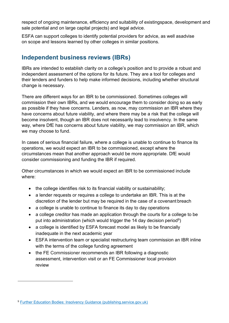respect of ongoing maintenance, efficiency and suitability of existingspace, development and sale potential and on large capital projects) and legal advice.

ESFA can support colleges to identify potential providers for advice, as well asadvise on scope and lessons learned by other colleges in similar positions.

# <span id="page-19-0"></span>**Independent business reviews (IBRs)**

IBRs are intended to establish clarity on a college's position and to provide a robust and independent assessment of the options for its future. They are a tool for colleges and their lenders and funders to help make informed decisions, including whether structural change is necessary.

There are different ways for an IBR to be commissioned. Sometimes colleges will commission their own IBRs, and we would encourage them to consider doing so as early as possible if they have concerns. Lenders, as now, may commission an IBR where they have concerns about future viability, and where there may be a risk that the college will become insolvent, though an IBR does not necessarily lead to insolvency. In the same way, where DfE has concerns about future viability, we may commission an IBR, which we may choose to fund.

In cases of serious financial failure, where a college is unable to continue to finance its operations, we would expect an IBR to be commissioned, except where the circumstances mean that another approach would be more appropriate. DfE would consider commissioning and funding the IBR if required.

Other circumstances in which we would expect an IBR to be commissioned include where:

- the college identifies risk to its financial viability or sustainability;
- a lender requests or requires a college to undertake an IBR. This is at the discretion of the lender but may be required in the case of a covenant breach
- a college is unable to continue to finance its day to day operations
- a college creditor has made an application through the courts for a college to be put into administration (which would trigger the 14 day decision period<sup>9</sup>)
- a college is identified by ESFA forecast model as likely to be financially inadequate in the next academic year
- ESFA intervention team or specialist restructuring team commission an IBR inline with the terms of the college funding agreement
- the FE Commissioner recommends an IBR following a diagnostic assessment, intervention visit or an FE Commissioner local provision review

<sup>9</sup> [Further Education Bodies: Insolvency Guidance \(publishing.service.gov.uk\)](https://assets.publishing.service.gov.uk/government/uploads/system/uploads/attachment_data/file/858896/Further_Education_Bodies_Insolvency_Guidance.pdf)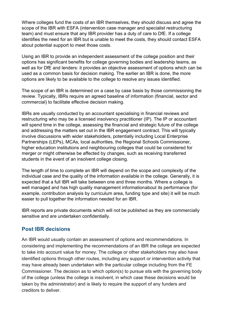Where colleges fund the costs of an IBR themselves, they should discuss and agree the scope of the IBR with ESFA (intervention case manager and specialist restructuring team) and must ensure that any IBR provider has a duty of care to DfE. If a college identifies the need for an IBR but is unable to meet the costs, they should contact ESFA about potential support to meet those costs.

Using an IBR to provide an independent assessment of the college position and their options has significant benefits for college governing bodies and leadership teams, as well as for DfE and lenders: it provides an objective assessment of options which can be used as a common basis for decision making. The earlier an IBR is done, the more options are likely to be available to the college to resolve any issues identified.

The scope of an IBR is determined on a case by case basis by those commissioning the review. Typically, IBRs require an agreed baseline of information (financial, sector and commercial) to facilitate effective decision making.

IBRs are usually conducted by an accountant specialising in financial reviews and restructuring who may be a licensed insolvency practitioner (IP). The IP or accountant will spend time in the college, assessing the financial and strategic future of the college and addressing the matters set out in the IBR engagement contract. This will typically involve discussions with wider stakeholders, potentially including Local Enterprise Partnerships (LEPs), MCAs, local authorities, the Regional Schools Commissioner, higher education institutions and neighbouring colleges that could be considered for merger or might otherwise be affected by changes, such as receiving transferred students in the event of an insolvent college closing.

The length of time to complete an IBR will depend on the scope and complexity of the individual case and the quality of the information available in the college. Generally, it is expected that a full IBR will take between one and three months. Where a college is well managed and has high quality management informationabout its performance (for example, contribution analysis by curriculum area, funding type and site) it will be much easier to pull together the information needed for an IBR.

IBR reports are private documents which will not be published as they are commercially sensitive and are undertaken confidentially.

#### <span id="page-20-0"></span>**Post IBR decisions**

An IBR would usually contain an assessment of options and recommendations. In considering and implementing the recommendations of an IBR the college are expected to take into account value for money. The college or other stakeholders may also have identified options through other routes, including any support or intervention activity that may have already been undertaken with the particular college including from the FE Commissioner. The decision as to which option(s) to pursue sits with the governing body of the college (unless the college is insolvent, in which case these decisions would be taken by the administrator) and is likely to require the support of any funders and creditors to deliver.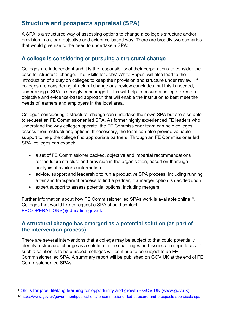## <span id="page-21-0"></span>**Structure and prospects appraisal (SPA)**

A SPA is a structured way of assessing options to change a college's structure and/or provision in a clear, objective and evidence-based way. There are broadly two scenarios that would give rise to the need to undertake a SPA:

#### <span id="page-21-1"></span>**A college is considering or pursuing a structural change**

Colleges are independent and it is the responsibility of their corporations to consider the case for structural change. The 'Skills for Jobs' White Paper<sup>1</sup> will also lead to the introduction of a duty on colleges to keep their provision and structure under review. If colleges are considering structural change or a review concludes that this is needed, undertaking a SPA is strongly encouraged. This will help to ensure a college takes an objective and evidence-based approach that will enable the institution to best meet the needs of learners and employers in the local area.

Colleges considering a structural change can undertake their own SPA but are also able to request an FE Commissioner led SPA. As former highly experienced FE leaders who understand the way colleges operate, the FE Commissioner team can help colleges assess their restructuring options. If necessary, the team can also provide valuable support to help the college find appropriate partners. Through an FE Commissioner led SPA, colleges can expect:

- a set of FE Commissioner backed, objective and impartial recommendations for the future structure and provision in the organisation, based on thorough analysis of available information
- advice, support and leadership to run a productive SPA process, including running a fair and transparent process to find a partner, if a merger option is decidedupon
- expert support to assess potential options, including mergers

Further information about how FE Commissioner led SPAs work is available online<sup>10</sup>. Colleges that would like to request a SPA should contact: [FEC.OPERATIONS@education.gov.uk.](mailto:FEC.OPERATIONS@education.gov.uk)

#### <span id="page-21-2"></span>**A structural change has emerged as a potential solution (as part of the intervention process)**

There are several interventions that a college may be subject to that could potentially identify a structural change as a solution to the challenges and issues a college faces. If such a solution is to be pursued, colleges will continue to be subject to an FE Commissioner led SPA. A summary report will be published on GOV.UK at the end of FE Commissioner led SPAs.

<sup>1</sup> [Skills for jobs: lifelong learning for opportunity and growth -](https://www.gov.uk/government/publications/skills-for-jobs-lifelong-learning-for-opportunity-and-growth) GOV.UK (www.gov.uk)

<sup>10</sup> <https://www.gov.uk/government/publications/fe-commissioner-led-structure-and-prospects-appraisals-spa>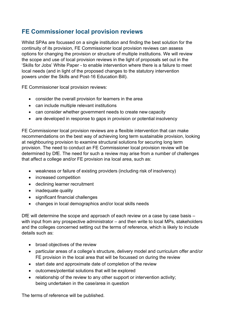## <span id="page-22-0"></span>**FE Commissioner local provision reviews**

Whilst SPAs are focussed on a single institution and finding the best solution for the continuity of its provision, FE Commissioner local provision reviews can assess options for changing the provision or structure of multiple institutions. We will review the scope and use of local provision reviews in the light of proposals set out in the 'Skills for Jobs' White Paper - to enable intervention where there is a failure to meet local needs (and in light of the proposed changes to the statutory intervention powers under the Skills and Post-16 Education Bill).

FE Commissioner local provision reviews:

- consider the overall provision for learners in the area
- can include multiple relevant institutions
- can consider whether government needs to create new capacity
- are developed in response to gaps in provision or potential insolvency

FE Commissioner local provision reviews are a flexible intervention that can make recommendations on the best way of achieving long term sustainable provision, looking at neighbouring provision to examine structural solutions for securing long term provision. The need to conduct an FE Commissioner local provision review will be determined by DfE. The need for such a review may arise from a number of challenges that affect a college and/or FE provision ina local area, such as:

- weakness or failure of existing providers (including risk of insolvency)
- increased competition
- declining learner recruitment
- inadequate quality
- significant financial challenges
- changes in local demographics and/or local skills needs

DfE will determine the scope and approach of each review on a case by case basis – with input from any prospective administrator – and then write to local MPs, stakeholders and the colleges concerned setting out the terms of reference, which is likely to include details such as:

- broad objectives of the review
- particular areas of a college's structure, delivery model and curriculum offer and/or FE provision in the local area that will be focussed on during the review
- start date and approximate date of completion of the review
- outcomes/potential solutions that will be explored
- relationship of the review to any other support or intervention activity; being undertaken in the case/area in question

The terms of reference will be published.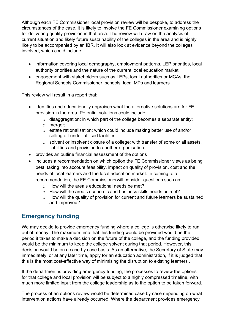Although each FE Commissioner local provision review will be bespoke, to address the circumstances of the case, it is likely to involve the FE Commissioner examining options for delivering quality provision in that area. The review will draw on the analysis of current situation and likely future sustainability of the colleges in the area and is highly likely to be accompanied by an IBR. It will also look at evidence beyond the colleges involved, which could include:

- information covering local demography, employment patterns, LEP priorities, local authority priorities and the nature of the current local education market
- engagement with stakeholders such as LEPs, local authorities or MCAs, the Regional Schools Commissioner, schools, local MPs and learners

This review will result in a report that:

- identifies and educationally appraises what the alternative solutions are for FE provision in the area. Potential solutions could include:
	- $\circ$  disaggregation: in which part of the college becomes a separate entity;
	- o merger;
	- o estate rationalisation: which could include making better use of and/or selling off under-utilised facilities;
	- o solvent or insolvent closure of a college: with transfer of some or all assets, liabilities and provision to another organisation.
- provides an outline financial assessment of the options
- includes a recommendation on which option the FE Commissioner views as being best, taking into account feasibility, impact on quality of provision, cost and the needs of local learners and the local education market. In coming to a recommendation, the FE Commissionerwill consider questions such as:
	- $\circ$  How will the area's educational needs be met?
	- $\circ$  How will the area's economic and business skills needs be met?
	- $\circ$  How will the quality of provision for current and future learners be sustained and improved?

# <span id="page-23-0"></span>**Emergency funding**

We may decide to provide emergency funding where a college is otherwise likely to run out of money. The maximum time that this funding would be provided would be the period it takes to make a decision on the future of the college, and the funding provided would be the minimum to keep the college solvent during that period. However, this decision would be on a case by case basis. As an alternative, the Secretary of State may immediately, or at any later time, apply for an education administration, if it is judged that this is the most cost-effective way of minimising the disruption to existing learners .

If the department is providing emergency funding, the processes to review the options for that college and local provision will be subject to a highly compressed timeline, with much more limited input from the college leadership as to the option to be taken forward.

The process of an options review would be determined case by case depending on what intervention actions have already occurred. Where the department provides emergency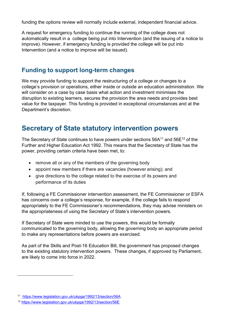funding the options review will normally include external, independent financial advice.

A request for emergency funding to continue the running of the college does not automatically result in a college being put into Intervention (and the issuing of a notice to improve). However, if emergency funding is provided the college will be put into Intervention (and a notice to improve will be issued).

#### <span id="page-24-0"></span>**Funding to support long-term changes**

We may provide funding to support the restructuring of a college or changes to a college's provision or operations, either inside or outside an education administration. We will consider on a case by case basis what action and investment minimises the disruption to existing learners, secures the provision the area needs and provides best value for the taxpayer. This funding is provided in exceptional circumstances and at the Department's discretion.

# <span id="page-24-1"></span>**Secretary of State statutory intervention powers**

The Secretary of State continues to have powers under sections 56A<sup>11</sup> and 56E<sup>12</sup> of the Further and Higher Education Act 1992. This means that the Secretary of State has the power, providing certain criteria have been met, to:

- remove all or any of the members of the governing body
- appoint new members if there are vacancies (however arising); and
- give directions to the college related to the exercise of its powers and performance of its duties

If, following a FE Commissioner intervention assessment, the FE Commissioner or ESFA has concerns over a college's response, for example, if the college fails to respond appropriately to the FE Commissioner's recommendations, they may advise ministers on the appropriateness of using the Secretary of State's intervention powers.

If Secretary of State were minded to use the powers, this would be formally communicated to the governing body, allowing the governing body an appropriate period to make any representations before powers are exercised.

As part of the Skills and Post-16 Education Bill, the government has proposed changes to the existing statutory intervention powers. These changes, if approved by Parliament, are likely to come into force in 2022.

<sup>11</sup> <https://www.legislation.gov.uk/ukpga/1992/13/section/56A>

<sup>12</sup> <https://www.legislation.gov.uk/ukpga/1992/13/section/56E>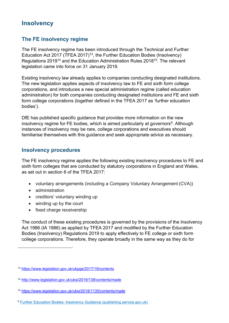## **Insolvency**

#### **The FE insolvency regime**

The FE insolvency regime has been introduced through the Technical and Further Education Act 2017 (TFEA 2017)<sup>13</sup>, the Further Education Bodies (Insolvency) Regulations 2019<sup>14</sup> and the Education Administration Rules 2018<sup>15</sup>. The relevant legislation came into force on 31 January 2019.

Existing insolvency law already applies to companies conducting designated institutions. The new legislation applies aspects of insolvency law to FE and sixth form college corporations, and introduces a new special administration regime (called education administration) for both companies conducting designated institutions and FE and sixth form college corporations (together defined in the TFEA 2017 as 'further education bodies').

DfE has published specific guidance that provides more information on the new insolvency regime for FE bodies, which is aimed particularly at governors $^9$ . Although instances of insolvency may be rare, college corporations and executives should familiarise themselves with this guidance and seek appropriate advice as necessary.

#### **Insolvency procedures**

The FE insolvency regime applies the following existing insolvency procedures to FE and sixth form colleges that are conducted by statutory corporations in England and Wales, as set out in section 6 of the TFEA 2017:

- voluntary arrangements (including a Company Voluntary Arrangement (CVA))
- administration
- creditors' voluntary winding up
- winding up by the court
- fixed charge receivership

The conduct of these existing procedures is governed by the provisions of the Insolvency Act 1986 (IA 1986) as applied by TFEA 2017 and modified by the Further Education Bodies (Insolvency) Regulations 2019 to apply effectively to FE college or sixth form college corporations. Therefore, they operate broadly in the same way as they do for

<sup>13</sup> <https://www.legislation.gov.uk/ukpga/2017/19/contents>

<sup>14</sup> <http://www.legislation.gov.uk/uksi/2019/138/contents/made>

<sup>15</sup> <https://www.legislation.gov.uk/uksi/2018/1135/contents/made>

<sup>9</sup> [Further Education Bodies: Insolvency Guidance \(publishing.service.gov.uk\)](https://assets.publishing.service.gov.uk/government/uploads/system/uploads/attachment_data/file/858896/Further_Education_Bodies_Insolvency_Guidance.pdf)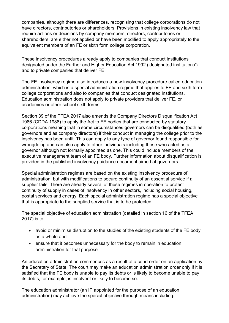companies, although there are differences, recognising that college corporations do not have directors, contributories or shareholders. Provisions in existing insolvency law that require actions or decisions by company members, directors, contributories or shareholders, are either not applied or have been modified to apply appropriately to the equivalent members of an FE or sixth form college corporation.

These insolvency procedures already apply to companies that conduct institutions designated under the Further and Higher Education Act 1992 ('designated institutions') and to private companies that deliver FE.

The FE insolvency regime also introduces a new insolvency procedure called education administration, which is a special administration regime that applies to FE and sixth form college corporations and also to companies that conduct designated institutions. Education administration does not apply to private providers that deliver FE, or academies or other school sixth forms.

Section 39 of the TFEA 2017 also amends the Company Directors Disqualification Act 1986 (CDDA 1986) to apply the Act to FE bodies that are conducted by statutory corporations meaning that in some circumstances governors can be disqualified (both as governors and as company directors) if their conduct in managing the college prior to the insolvency has been unfit. This can apply to any type of governor found responsible for wrongdoing and can also apply to other individuals including those who acted as a governor although not formally appointed as one. This could include members of the executive management team of an FE body. Further information about disqualification is provided in the published insolvency guidance document aimed at governors.

Special administration regimes are based on the existing insolvency procedure of administration, but with modifications to secure continuity of an essential service if a supplier fails. There are already several of these regimes in operation to protect continuity of supply in cases of insolvency in other sectors, including social housing, postal services and energy. Each special administration regime has a special objective that is appropriate to the supplied service that is to be protected.

The special objective of education administration (detailed in section 16 of the TFEA 2017) is to:

- avoid or minimise disruption to the studies of the existing students of the FE body as a whole and
- ensure that it becomes unnecessary for the body to remain in education administration for that purpose

An education administration commences as a result of a court order on an application by the Secretary of State. The court may make an education administration order only if it is satisfied that the FE body is unable to pay its debts or is likely to become unable to pay its debts, for example, is insolvent or likely to become so.

The education administrator (an IP appointed for the purpose of an education administration) may achieve the special objective through means including: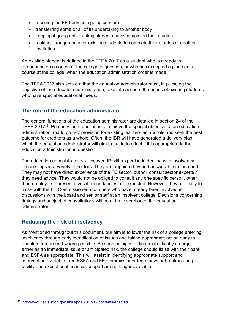- rescuing the FE body as a going concern
- transferring some or all of its undertaking to another body
- keeping it going until existing students have completed their studies
- making arrangements for existing students to complete their studies at another institution

An existing student is defined in the TFEA 2017 as a student who is already in attendance on a course at the college in question, or who has accepted a place on a course at the college, when the education administration order is made.

The TFEA 2017 also sets out that the education administrator must, in pursuing the objective of the education administration, take into account the needs of existing students who have special educational needs.

#### **The role of the education administrator**

The general functions of the education administrator are detailed in section 24 of the TFEA 2017<sup>16</sup>. Primarily their function is to achieve the special objective of an education administration and to protect provision for existing learners as a whole and seek the best outcome for creditors as a whole. Often, the IBR will have generated a delivery plan, which the education administrator will aim to put in to effect if it is appropriate to the education administration in question.

The education administrator is a licensed IP with expertise in dealing with insolvency proceedings in a variety of sectors. They are appointed by and answerable to the court. They may not have direct experience of the FE sector, but will consult sector experts if they need advice. They would not be obliged to consult any one specific person, other than employee representatives if redundancies are expected. However, they are likely to liaise with the FE Commissioner and others who have already been involved in discussions with the board and senior staff at an insolvent college. Decisions concerning timings and subject of consultations will be at the discretion of the education administrator.

#### **Reducing the risk of insolvency**

As mentioned throughout this document, our aim is to lower the risk of a college entering insolvency through early identification of issues and taking appropriate action early to enable a turnaround where possible. As soon as signs of financial difficulty emerge, either as an immediate issue or anticipated risk, the college should liaise with their bank and ESFA as appropriate. This will assist in identifying appropriate support and intervention available from ESFA and FE Commissioner team now that restructuring facility and exceptional financial support are no longer available.

<span id="page-27-0"></span><sup>16</sup> <http://www.legislation.gov.uk/ukpga/2017/19/contents/enacted>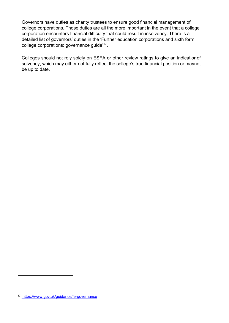Governors have duties as charity trustees to ensure good financial management of college corporations. Those duties are all the more important in the event that a college corporation encounters financial difficulty that could result in insolvency. There is a detailed list of governors' duties in the 'Further education corporations and sixth form college corporations: governance guide['](#page-27-0) 17 .

Colleges should not rely solely on ESFA or other review ratings to give an indicationof solvency, which may either not fully reflect the college's true financial position or maynot be up to date.

<sup>17</sup> <https://www.gov.uk/guidance/fe-governance>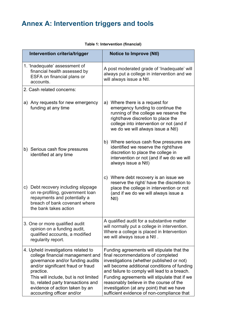# <span id="page-29-0"></span>**Annex A: Intervention triggers and tools**

| Intervention criteria/trigger                                                                                                                                                                                                                                                                               | <b>Notice to Improve (Ntl)</b>                                                                                                                                                                                                                                                                                                                                                                                      |
|-------------------------------------------------------------------------------------------------------------------------------------------------------------------------------------------------------------------------------------------------------------------------------------------------------------|---------------------------------------------------------------------------------------------------------------------------------------------------------------------------------------------------------------------------------------------------------------------------------------------------------------------------------------------------------------------------------------------------------------------|
| 1. 'Inadequate' assessment of<br>financial health assessed by<br>ESFA on financial plans or<br>accounts.                                                                                                                                                                                                    | A post moderated grade of 'Inadequate' will<br>always put a college in intervention and we<br>will always issue a Ntl.                                                                                                                                                                                                                                                                                              |
| 2. Cash related concerns:                                                                                                                                                                                                                                                                                   |                                                                                                                                                                                                                                                                                                                                                                                                                     |
| a) Any requests for new emergency<br>funding at any time                                                                                                                                                                                                                                                    | a) Where there is a request for<br>emergency funding to continue the<br>running of the college we reserve the<br>right/have discretion to place the<br>college into intervention or not (and if<br>we do we will always issue a Ntl)                                                                                                                                                                                |
| b) Serious cash flow pressures<br>identified at any time                                                                                                                                                                                                                                                    | b) Where serious cash flow pressures are<br>identified we reserve the right/have<br>discretion to place the college in<br>intervention or not (and if we do we will<br>always issue a Ntl)                                                                                                                                                                                                                          |
| c) Debt recovery including slippage<br>on re-profiling, government loan<br>repayments and potentially a<br>breach of bank covenant where<br>the bank takes action                                                                                                                                           | c) Where debt recovery is an issue we<br>reserve the right/ have the discretion to<br>place the college in intervention or not<br>(and if we do we will always issue a<br>Ntl)                                                                                                                                                                                                                                      |
| 3. One or more qualified audit<br>opinion on a funding audit,<br>qualified accounts, a modified<br>regularity report.                                                                                                                                                                                       | A qualified audit for a substantive matter<br>will normally put a college in intervention.<br>Where a college is placed in Intervention<br>we will always issue a Ntl.                                                                                                                                                                                                                                              |
| 4. Upheld investigations related to<br>college financial management and<br>governance and/or funding audits<br>and/or significant fraud or fraud<br>practice.<br>This will include, but is not limited<br>to, related party transactions and<br>evidence of action taken by an<br>accounting officer and/or | Funding agreements will stipulate that the<br>final recommendations of completed<br>investigations (whether published or not)<br>will become additional conditions of funding<br>and failure to comply will lead to a breach.<br>Funding agreements will stipulate that if we<br>reasonably believe in the course of the<br>investigation (at any point) that we have<br>sufficient evidence of non-compliance that |

#### **Table 1: Intervention (financial)**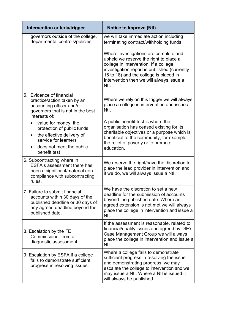| Intervention criteria/trigger                                                                                                                             | <b>Notice to Improve (Ntl)</b>                                                                                                                                                                                                                                         |
|-----------------------------------------------------------------------------------------------------------------------------------------------------------|------------------------------------------------------------------------------------------------------------------------------------------------------------------------------------------------------------------------------------------------------------------------|
| governors outside of the college,<br>departmental controls/policies                                                                                       | we will take immediate action including<br>terminating contract/withholding funds.                                                                                                                                                                                     |
|                                                                                                                                                           | Where investigations are complete and<br>upheld we reserve the right to place a<br>college in intervention. If a college<br>investigation report is published (currently<br>16 to 18) and the college is placed in<br>Intervention then we will always issue a<br>Ntl. |
| 5. Evidence of financial<br>practice/action taken by an<br>accounting officer and/or<br>governors that is not in the best<br>interests of:                | Where we rely on this trigger we will always<br>place a college in intervention and issue a<br>Ntl.                                                                                                                                                                    |
| value for money, the<br>protection of public funds<br>the effective delivery of<br>service for learners<br>does not meet the public<br>benefit test       | A public benefit test is where the<br>organisation has ceased existing for its<br>charitable objectives or a purpose which is<br>beneficial to the community, for example,<br>the relief of poverty or to promote<br>education.                                        |
| 6. Subcontracting where in<br>ESFA's assessment there has<br>been a significant/material non-<br>compliance with subcontracting<br>rules.                 | We reserve the right/have the discretion to<br>place the lead provider in intervention and<br>if we do, we will always issue a Ntl.                                                                                                                                    |
| 7. Failure to submit financial<br>accounts within 30 days of the<br>published deadline or 30 days of<br>any agreed deadline beyond the<br>published date. | We have the discretion to set a new<br>deadline for the submission of accounts<br>beyond the published date. Where an<br>agreed extension is not met we will always<br>place the college in intervention and issue a<br>Ntl.                                           |
| 8. Escalation by the FE<br>Commissioner from a<br>diagnostic assessment.                                                                                  | If the assessment is reasonable, related to<br>financial/quality issues and agreed by DfE's<br>Case Management Group we will always<br>place the college in intervention and issue a<br>Ntl.                                                                           |
| 9. Escalation by ESFA if a college<br>fails to demonstrate sufficient<br>progress in resolving issues.                                                    | Where a college fails to demonstrate<br>sufficient progress in resolving the issue<br>and demonstrating progress, we may<br>escalate the college to intervention and we<br>may issue a Ntl. Where a Ntl is issued it<br>will always be published.                      |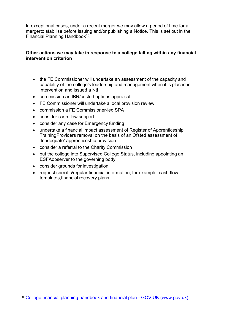In exceptional cases, under a recent merger we may allow a period of time for a mergerto stabilise before issuing and/or publishing a Notice. This is set out in the Financial Planning Handbook<sup>18</sup>.

#### **Other actions we may take in response to a college falling within any financial intervention criterion**

- the FE Commissioner will undertake an assessment of the capacity and capability of the college's leadership and management when it is placed in intervention and issued a NtI
- commission an IBR/costed options appraisal
- FE Commissioner will undertake a local provision review
- commission a FE Commissioner-led SPA
- consider cash flow support
- consider any case for Emergency funding
- undertake a financial impact assessment of Register of Apprenticeship TrainingProviders removal on the basis of an Ofsted assessment of 'Inadequate' apprenticeship provision
- consider a referral to the Charity Commission
- put the college into Supervised College Status, including appointing an ESFAobserver to the governing body
- consider grounds for investigation
- request specific/regular financial information, for example, cash flow templates,financial recovery plans

<sup>18</sup> [College financial planning handbook and financial plan -](https://www.gov.uk/government/publications/financial-planning-handbook) GOV.UK (www.gov.uk)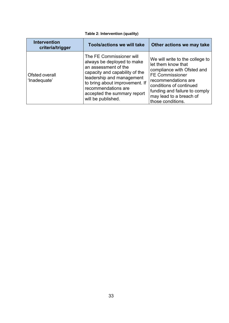|  |  | Table 2: Intervention (quality) |  |
|--|--|---------------------------------|--|
|--|--|---------------------------------|--|

| <b>Intervention</b><br>criteria/trigger | <b>Tools/actions we will take</b>                                                                                                                                                                                                                           | Other actions we may take                                                                                                                                                                                                                        |
|-----------------------------------------|-------------------------------------------------------------------------------------------------------------------------------------------------------------------------------------------------------------------------------------------------------------|--------------------------------------------------------------------------------------------------------------------------------------------------------------------------------------------------------------------------------------------------|
| Ofsted overall<br>'Inadequate'          | The FE Commissioner will<br>always be deployed to make<br>an assessment of the<br>capacity and capability of the<br>leadership and management<br>to bring about improvement. If<br>recommendations are<br>accepted the summary report<br>will be published. | We will write to the college to<br>let them know that<br>compliance with Ofsted and<br><b>FE Commissioner</b><br>recommendations are<br>conditions of continued<br>funding and failure to comply<br>may lead to a breach of<br>those conditions. |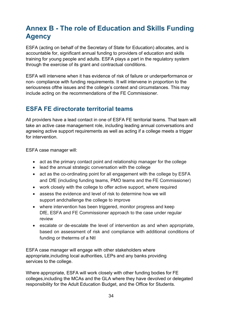# <span id="page-33-0"></span>**Annex B - The role of Education and Skills Funding Agency**

ESFA (acting on behalf of the Secretary of State for Education) allocates, and is accountable for, significant annual funding to providers of education and skills training for young people and adults. ESFA plays a part in the regulatory system through the exercise of its grant and contractual conditions.

ESFA will intervene when it has evidence of risk of failure or underperformance or non- compliance with funding requirements. It will intervene in proportion to the seriousness ofthe issues and the college's context and circumstances. This may include acting on the recommendations of the FE Commissioner.

## <span id="page-33-1"></span>**ESFA FE directorate territorial teams**

All providers have a lead contact in one of ESFA FE territorial teams. That team will take an active case management role, including leading annual conversations and agreeing active support requirements as well as acting if a college meets a trigger for intervention.

ESFA case manager will:

- act as the primary contact point and relationship manager for the college
- lead the annual strategic conversation with the college
- act as the co-ordinating point for all engagement with the college by ESFA and DfE (including funding teams, PMO teams and the FE Commissioner)
- work closely with the college to offer active support, where required
- assess the evidence and level of risk to determine how we will support andchallenge the college to improve
- where intervention has been triggered, monitor progress and keep DfE, ESFA and FE Commissioner approach to the case under regular review
- escalate or de-escalate the level of intervention as and when appropriate, based on assessment of risk and compliance with additional conditions of funding or theterms of a NtI

ESFA case manager will engage with other stakeholders where appropriate,including local authorities, LEPs and any banks providing services to the college.

Where appropriate, ESFA will work closely with other funding bodies for FE colleges,including the MCAs and the GLA where they have devolved or delegated responsibility for the Adult Education Budget, and the Office for Students.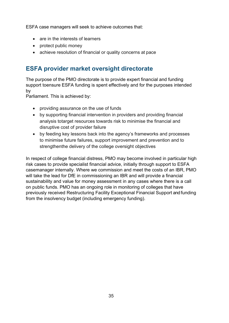ESFA case managers will seek to achieve outcomes that:

- are in the interests of learners
- protect public money
- achieve resolution of financial or quality concerns at pace

## <span id="page-34-0"></span>**ESFA provider market oversight directorate**

The purpose of the PMO directorate is to provide expert financial and funding support toensure ESFA funding is spent effectively and for the purposes intended by

Parliament. This is achieved by:

- providing assurance on the use of funds
- by supporting financial intervention in providers and providing financial analysis totarget resources towards risk to minimise the financial and disruptive cost of provider failure
- by feeding key lessons back into the agency's frameworks and processes to minimise future failures, support improvement and prevention and to strengthenthe delivery of the college oversight objectives

In respect of college financial distress, PMO may become involved in particular high risk cases to provide specialist financial advice, initially through support to ESFA casemanager internally. Where we commission and meet the costs of an IBR, PMO will take the lead for DfE in commissioning an IBR and will provide a financial sustainability and value for money assessment in any cases where there is a call on public funds. PMO has an ongoing role in monitoring of colleges that have previously received Restructuring Facility Exceptional Financial Support and funding from the insolvency budget (including emergency funding).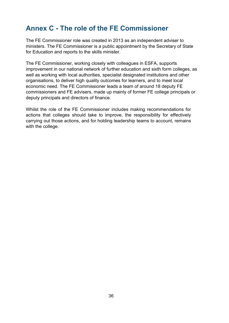# <span id="page-35-0"></span>**Annex C - The role of the FE Commissioner**

The FE Commissioner role was created in 2013 as an independent adviser to ministers. The FE Commissioner is a public appointment by the Secretary of State for Education and reports to the skills minister.

The FE Commissioner, working closely with colleagues in ESFA, supports improvement in our national network of further education and sixth form colleges, as well as working with local authorities, specialist designated institutions and other organisations, to deliver high quality outcomes for learners, and to meet local economic need. The FE Commissioner leads a team of around 18 deputy FE commissioners and FE advisers, made up mainly of former FE college principals or deputy principals and directors of finance.

Whilst the role of the FE Commissioner includes making recommendations for actions that colleges should take to improve, the responsibility for effectively carrying out those actions, and for holding leadership teams to account, remains with the college.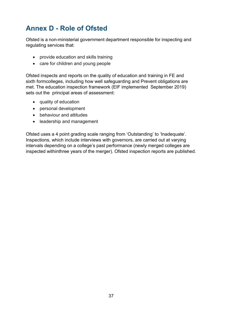# <span id="page-36-0"></span>**Annex D - Role of Ofsted**

Ofsted is a non-ministerial government department responsible for inspecting and regulating services that:

- provide education and skills training
- care for children and young people

Ofsted inspects and reports on the quality of education and training in FE and sixth formcolleges, including how well safeguarding and Prevent obligations are met. The education inspection framework (EIF implemented September 2019) sets out the principal areas of assessment:

- quality of education
- personal development
- behaviour and attitudes
- leadership and management

Ofsted uses a 4 point grading scale ranging from 'Outstanding' to 'Inadequate'. Inspections, which include interviews with governors, are carried out at varying intervals depending on a college's past performance (newly merged colleges are inspected withinthree years of the merger). Ofsted inspection reports are published.